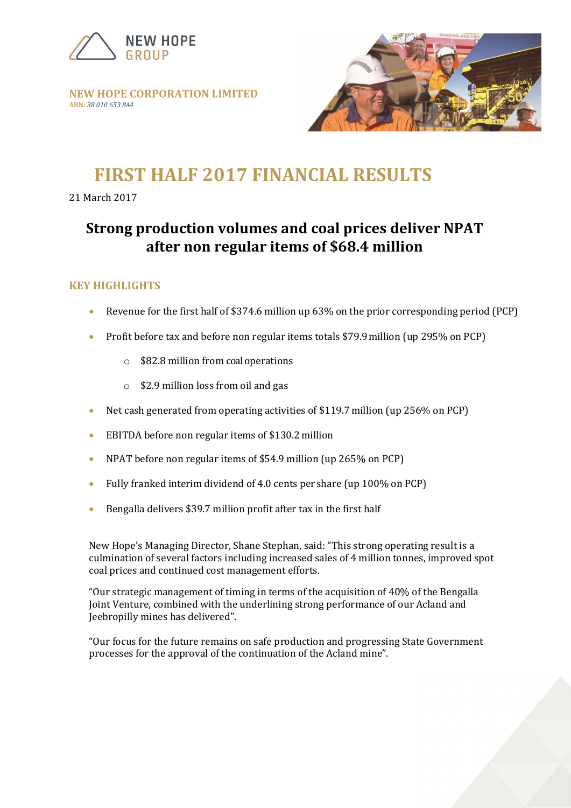

**NEW HOPE CORPORATION LIMITED ABN:** *38 010 653 844*



# **FIRST HALF 2017 FINANCIAL RESULTS**

21 March 2017

# **Strong production volumes and coal prices deliver NPAT after non regular items of \$68.4 million**

## **KEY HIGHLIGHTS**

- Revenue for the first half of \$374.6 million up 63% on the prior corresponding period (PCP)
- Profit before tax and before non regular items totals \$79.9million (up 295% on PCP)
	- o \$82.8 million from coal operations
	- o \$2.9 million loss from oil and gas
- Net cash generated from operating activities of \$119.7million (up 256% on PCP)
- EBITDA before non regular items of \$130.2million
- NPAT before non regular items of \$54.9 million (up 265% on PCP)
- Fully franked interim dividend of 4.0 cents per share (up 100% on PCP)
- Bengalla delivers \$39.7 million profit after tax in the first half

New Hope's Managing Director, Shane Stephan, said: "This strong operating result is a culmination of several factors including increased sales of 4 million tonnes, improved spot coal prices and continued cost management efforts.

"Our strategic management of timing in terms of the acquisition of 40% of the Bengalla Joint Venture, combined with the underlining strong performance of our Acland and Jeebropilly mines has delivered".

"Our focus for the future remains on safe production and progressing State Government processes for the approval of the continuation of the Acland mine".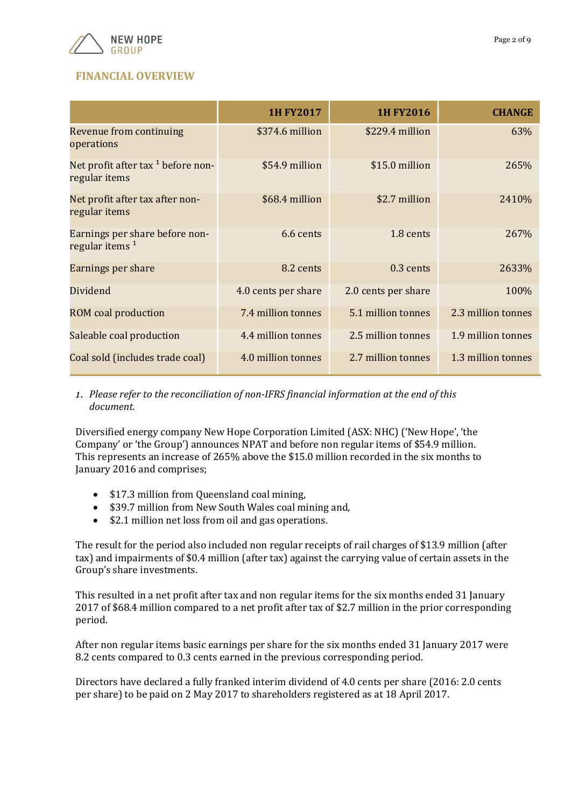

# **FINANCIAL OVERVIEW**

|                                                              | <b>1H FY2017</b>    | <b>1H FY2016</b>    | <b>CHANGE</b>      |
|--------------------------------------------------------------|---------------------|---------------------|--------------------|
| Revenue from continuing<br>operations                        | \$374.6 million     | \$229.4 million     | 63%                |
| Net profit after tax $1$ before non-<br>regular items        | \$54.9 million      | \$15.0 million      | 265%               |
| Net profit after tax after non-<br>regular items             | \$68.4 million      | \$2.7 million       | 2410\%             |
| Earnings per share before non-<br>regular items <sup>1</sup> | 6.6 cents           | 1.8 cents           | 267\%              |
| Earnings per share                                           | 8.2 cents           | $0.3$ cents         | 2633\%             |
| Dividend                                                     | 4.0 cents per share | 2.0 cents per share | 100%               |
| <b>ROM</b> coal production                                   | 7.4 million tonnes  | 5.1 million tonnes  | 2.3 million tonnes |
| Saleable coal production                                     | 4.4 million tonnes  | 2.5 million tonnes  | 1.9 million tonnes |
| Coal sold (includes trade coal)                              | 4.0 million tonnes  | 2.7 million tonnes  | 1.3 million tonnes |

*1. Please refer to the reconciliation of non-IFRS financial information at the end of this document.*

Diversified energy company New Hope Corporation Limited (ASX: NHC) ('New Hope', 'the Company' or 'the Group') announces NPAT and before non regular items of \$54.9 million. This represents an increase of 265% above the \$15.0 million recorded in the six months to January 2016 and comprises;

- \$17.3 million from Queensland coal mining,
- \$39.7 million from New South Wales coal mining and,
- \$2.1 million net loss from oil and gas operations.

The result for the period also included non regular receipts of rail charges of \$13.9 million (after tax) and impairments of \$0.4 million (after tax) against the carrying value of certain assets in the Group's share investments.

This resulted in a net profit after tax and non regular items for the six months ended 31 January 2017 of \$68.4 million compared to a net profit after tax of \$2.7 million in the prior corresponding period.

After non regular items basic earnings per share for the six months ended 31 January 2017 were 8.2 cents compared to 0.3 cents earned in the previous corresponding period.

Directors have declared a fully franked interim dividend of 4.0 cents per share (2016: 2.0 cents per share) to be paid on 2 May 2017 to shareholders registered as at 18 April 2017.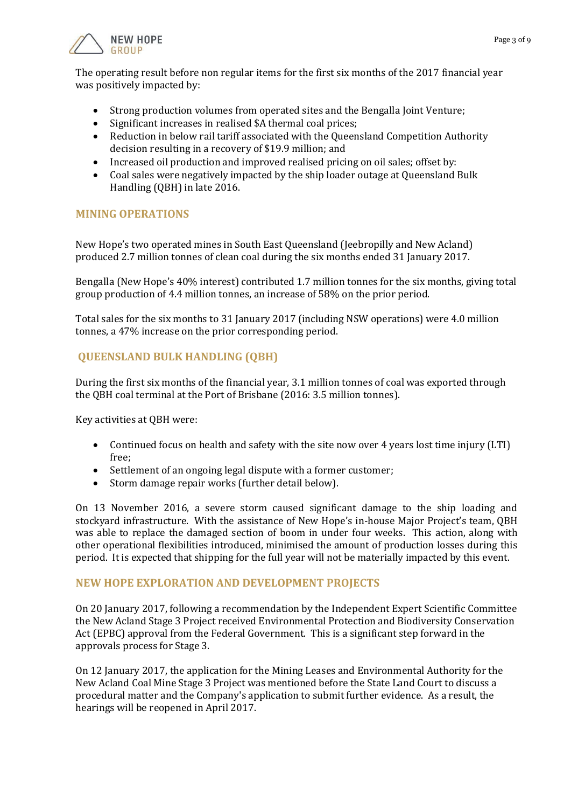



The operating result before non regular items for the first six months of the 2017 financial year was positively impacted by:

- Strong production volumes from operated sites and the Bengalla Joint Venture;
- Significant increases in realised \$A thermal coal prices;
- Reduction in below rail tariff associated with the Queensland Competition Authority decision resulting in a recovery of \$19.9 million; and
- Increased oil production and improved realised pricing on oil sales; offset by:
- Coal sales were negatively impacted by the ship loader outage at Queensland Bulk Handling (QBH) in late 2016.

#### **MINING OPERATIONS**

New Hope's two operated mines in South East Queensland (Jeebropilly and New Acland) produced 2.7 million tonnes of clean coal during the six months ended 31 January 2017.

Bengalla (New Hope's 40% interest) contributed 1.7 million tonnes for the six months, giving total group production of 4.4 million tonnes, an increase of 58% on the prior period.

Total sales for the six months to 31 January 2017 (including NSW operations) were 4.0 million tonnes, a 47% increase on the prior corresponding period.

### **QUEENSLAND BULK HANDLING (QBH)**

During the first six months of the financial year, 3.1 million tonnes of coal was exported through the QBH coal terminal at the Port of Brisbane (2016: 3.5 million tonnes).

Key activities at QBH were:

- Continued focus on health and safety with the site now over 4 years lost time injury (LTI) free;
- Settlement of an ongoing legal dispute with a former customer;
- Storm damage repair works (further detail below).

On 13 November 2016, a severe storm caused significant damage to the ship loading and stockyard infrastructure. With the assistance of New Hope's in-house Major Project's team, QBH was able to replace the damaged section of boom in under four weeks. This action, along with other operational flexibilities introduced, minimised the amount of production losses during this period. It is expected that shipping for the full year will not be materially impacted by this event.

#### **NEW HOPE EXPLORATION AND DEVELOPMENT PROJECTS**

On 20 January 2017, following a recommendation by the Independent Expert Scientific Committee the New Acland Stage 3 Project received Environmental Protection and Biodiversity Conservation Act (EPBC) approval from the Federal Government. This is a significant step forward in the approvals process for Stage 3.

On 12 January 2017, the application for the Mining Leases and Environmental Authority for the New Acland Coal Mine Stage 3 Project was mentioned before the State Land Court to discuss a procedural matter and the Company's application to submit further evidence. As a result, the hearings will be reopened in April 2017.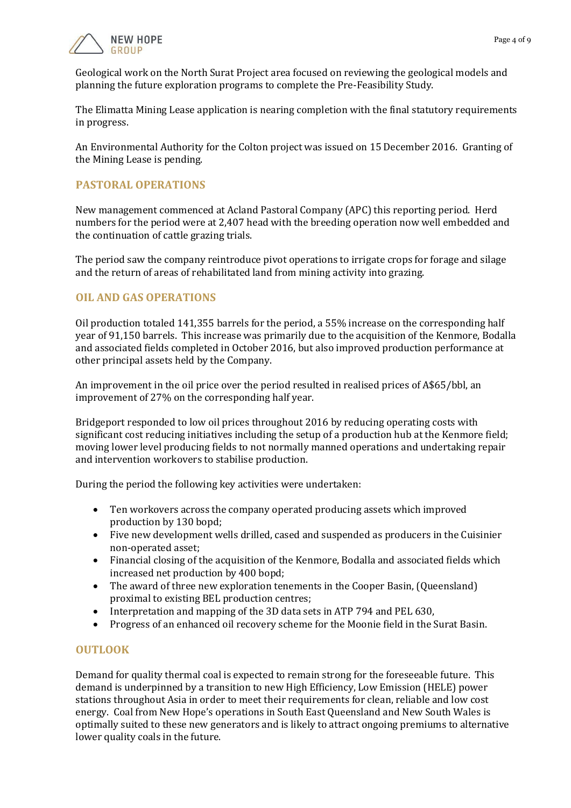

Geological work on the North Surat Project area focused on reviewing the geological models and planning the future exploration programs to complete the Pre-Feasibility Study.

The Elimatta Mining Lease application is nearing completion with the final statutory requirements in progress.

An Environmental Authority for the Colton project was issued on 15 December 2016. Granting of the Mining Lease is pending.

#### **PASTORAL OPERATIONS**

New management commenced at Acland Pastoral Company (APC) this reporting period. Herd numbers for the period were at 2,407 head with the breeding operation now well embedded and the continuation of cattle grazing trials.

The period saw the company reintroduce pivot operations to irrigate crops for forage and silage and the return of areas of rehabilitated land from mining activity into grazing.

#### **OIL AND GAS OPERATIONS**

Oil production totaled 141,355 barrels for the period, a 55% increase on the corresponding half year of 91,150 barrels. This increase was primarily due to the acquisition of the Kenmore, Bodalla and associated fields completed in October 2016, but also improved production performance at other principal assets held by the Company.

An improvement in the oil price over the period resulted in realised prices of A\$65/bbl, an improvement of 27% on the corresponding half year.

Bridgeport responded to low oil prices throughout 2016 by reducing operating costs with significant cost reducing initiatives including the setup of a production hub at the Kenmore field; moving lower level producing fields to not normally manned operations and undertaking repair and intervention workovers to stabilise production.

During the period the following key activities were undertaken:

- Ten workovers across the company operated producing assets which improved production by 130 bopd;
- Five new development wells drilled, cased and suspended as producers in the Cuisinier non-operated asset;
- Financial closing of the acquisition of the Kenmore, Bodalla and associated fields which increased net production by 400 bopd;
- The award of three new exploration tenements in the Cooper Basin, (Queensland) proximal to existing BEL production centres;
- Interpretation and mapping of the 3D data sets in ATP 794 and PEL 630,
- Progress of an enhanced oil recovery scheme for the Moonie field in the Surat Basin.

#### **OUTLOOK**

Demand for quality thermal coal is expected to remain strong for the foreseeable future. This demand is underpinned by a transition to new High Efficiency, Low Emission (HELE) power stations throughout Asia in order to meet their requirements for clean, reliable and low cost energy. Coal from New Hope's operations in South East Queensland and New South Wales is optimally suited to these new generators and is likely to attract ongoing premiums to alternative lower quality coals in the future.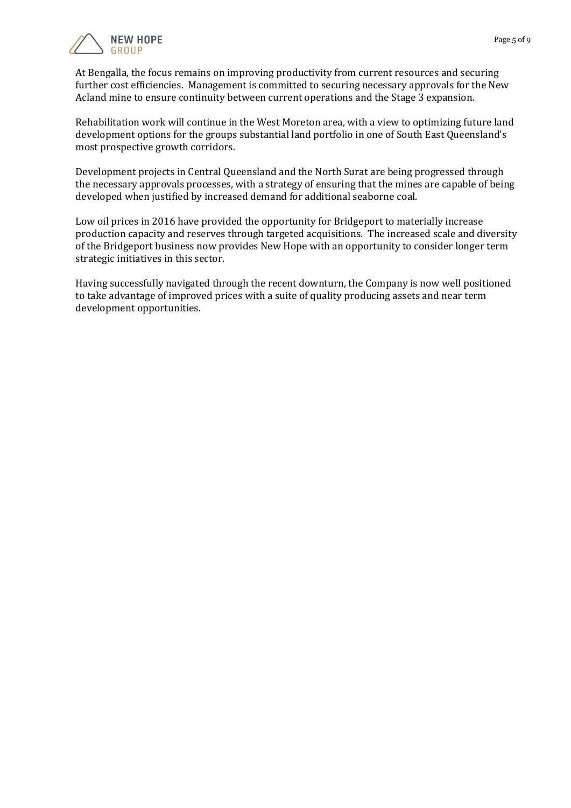

At Bengalla, the focus remains on improving productivity from current resources and securing further cost efficiencies. Management is committed to securing necessary approvals for the New Acland mine to ensure continuity between current operations and the Stage 3 expansion.

Rehabilitation work will continue in the West Moreton area, with a view to optimizing future land development options for the groups substantial land portfolio in one of South East Queensland's most prospective growth corridors.

Development projects in Central Queensland and the North Surat are being progressed through the necessary approvals processes, with a strategy of ensuring that the mines are capable of being developed when justified by increased demand for additional seaborne coal.

Low oil prices in 2016 have provided the opportunity for Bridgeport to materially increase production capacity and reserves through targeted acquisitions. The increased scale and diversity of the Bridgeport business now provides New Hope with an opportunity to consider longer term strategic initiatives in this sector.

Having successfully navigated through the recent downturn, the Company is now well positioned to take advantage of improved prices with a suite of quality producing assets and near term development opportunities.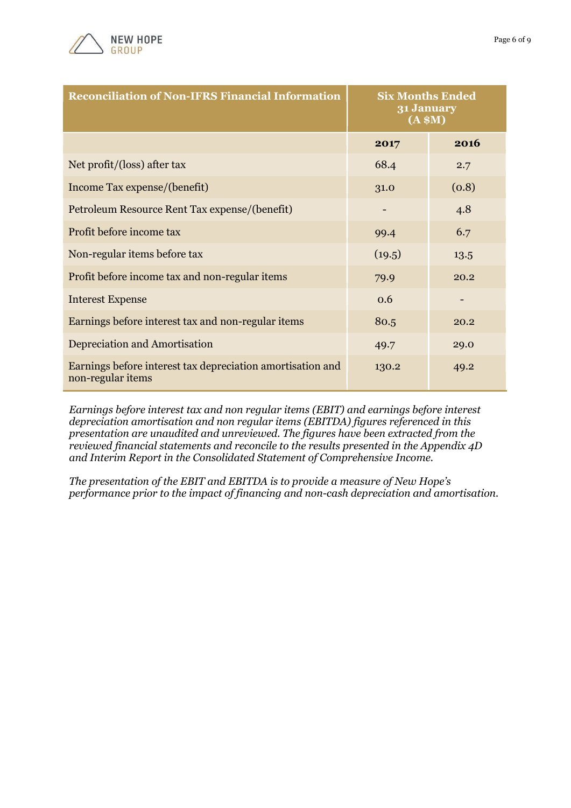

| <b>Reconciliation of Non-IFRS Financial Information</b>                         | <b>Six Months Ended</b><br>31 January<br>(A \$M) |       |
|---------------------------------------------------------------------------------|--------------------------------------------------|-------|
|                                                                                 | 2017                                             | 2016  |
| Net profit/(loss) after tax                                                     | 68.4                                             | 2.7   |
| Income Tax expense/(benefit)                                                    | 31.0                                             | (0.8) |
| Petroleum Resource Rent Tax expense/(benefit)                                   |                                                  | 4.8   |
| Profit before income tax                                                        | 99.4                                             | 6.7   |
| Non-regular items before tax                                                    | (19.5)                                           | 13.5  |
| Profit before income tax and non-regular items                                  | 79.9                                             | 20.2  |
| <b>Interest Expense</b>                                                         | 0.6                                              |       |
| Earnings before interest tax and non-regular items                              | 80.5                                             | 20.2  |
| <b>Depreciation and Amortisation</b>                                            | 49.7                                             | 29.0  |
| Earnings before interest tax depreciation amortisation and<br>non-regular items | 130.2                                            | 49.2  |

*Earnings before interest tax and non regular items (EBIT) and earnings before interest depreciation amortisation and non regular items (EBITDA) figures referenced in this presentation are unaudited and unreviewed. The figures have been extracted from the reviewed financial statements and reconcile to the results presented in the Appendix 4D and Interim Report in the Consolidated Statement of Comprehensive Income.*

*The presentation of the EBIT and EBITDA is to provide a measure of New Hope's performance prior to the impact of financing and non-cash depreciation and amortisation.*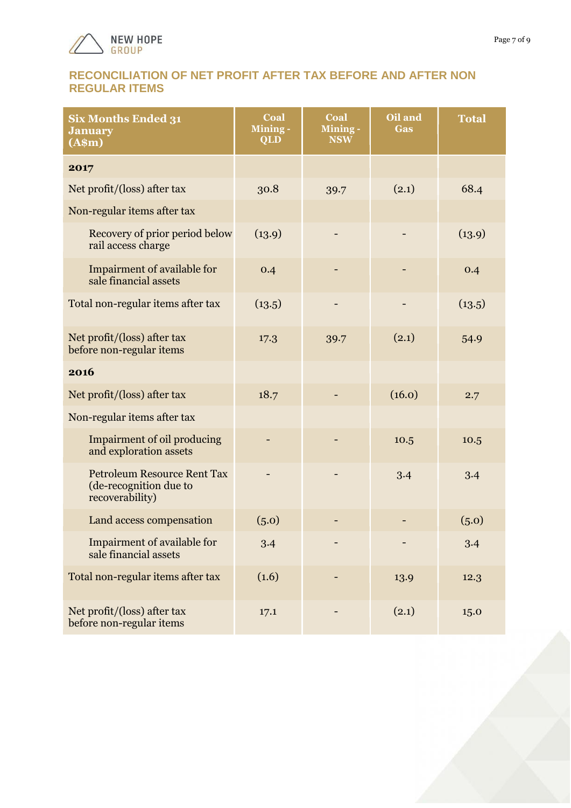

# **RECONCILIATION OF NET PROFIT AFTER TAX BEFORE AND AFTER NON REGULAR ITEMS**

| <b>Six Months Ended 31</b><br><b>January</b><br>(A\$m)                          | Coal<br>Mining-<br><b>QLD</b> | Coal<br>Mining -<br><b>NSW</b> | Oil and<br><b>Gas</b> | <b>Total</b> |
|---------------------------------------------------------------------------------|-------------------------------|--------------------------------|-----------------------|--------------|
| 2017                                                                            |                               |                                |                       |              |
| Net profit/(loss) after tax                                                     | 30.8                          | 39.7                           | (2.1)                 | 68.4         |
| Non-regular items after tax                                                     |                               |                                |                       |              |
| Recovery of prior period below<br>rail access charge                            | (13.9)                        |                                |                       | (13.9)       |
| Impairment of available for<br>sale financial assets                            | 0.4                           |                                |                       | 0.4          |
| Total non-regular items after tax                                               | (13.5)                        |                                |                       | (13.5)       |
| Net profit/(loss) after tax<br>before non-regular items                         | 17.3                          | 39.7                           | (2.1)                 | 54.9         |
| 2016                                                                            |                               |                                |                       |              |
| Net profit/(loss) after tax                                                     | 18.7                          |                                | (16.0)                | 2.7          |
| Non-regular items after tax                                                     |                               |                                |                       |              |
| Impairment of oil producing<br>and exploration assets                           |                               |                                | 10.5                  | 10.5         |
| <b>Petroleum Resource Rent Tax</b><br>(de-recognition due to<br>recoverability) |                               |                                | 3.4                   | 3.4          |
| Land access compensation                                                        | (5.0)                         |                                |                       | (5.0)        |
| Impairment of available for<br>sale financial assets                            | 3.4                           |                                |                       | 3.4          |
| Total non-regular items after tax                                               | (1.6)                         |                                | 13.9                  | 12.3         |
| Net profit/(loss) after tax<br>before non-regular items                         | 17.1                          |                                | (2.1)                 | 15.0         |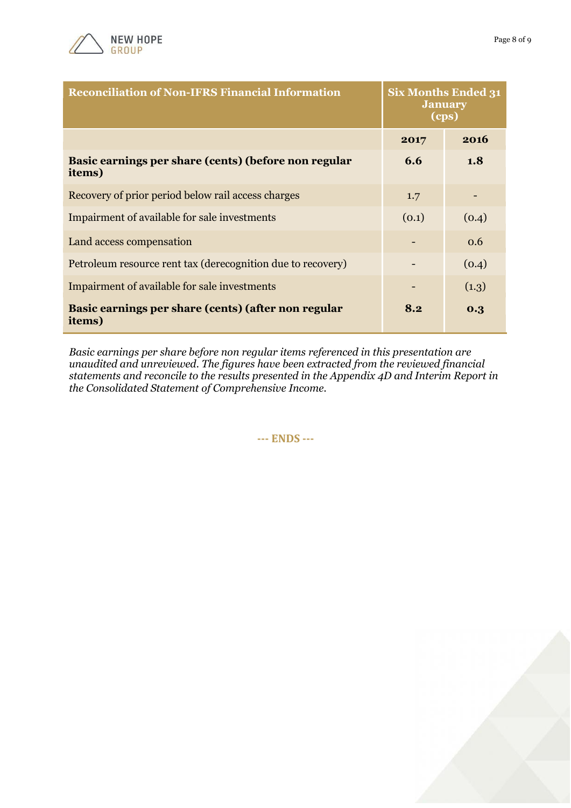

| <b>Reconciliation of Non-IFRS Financial Information</b>        | <b>Six Months Ended 31</b><br><b>January</b><br>(cps) |       |
|----------------------------------------------------------------|-------------------------------------------------------|-------|
|                                                                | 2017                                                  | 2016  |
| Basic earnings per share (cents) (before non regular<br>items) | 6.6                                                   | 1.8   |
| Recovery of prior period below rail access charges             | 1.7                                                   |       |
| Impairment of available for sale investments                   | (0.1)                                                 | (0.4) |
| Land access compensation                                       |                                                       | 0.6   |
| Petroleum resource rent tax (derecognition due to recovery)    |                                                       | (0.4) |
| Impairment of available for sale investments                   |                                                       | (1.3) |
| Basic earnings per share (cents) (after non regular<br>items)  | 8.2                                                   | 0.3   |

*Basic earnings per share before non regular items referenced in this presentation are unaudited and unreviewed. The figures have been extracted from the reviewed financial statements and reconcile to the results presented in the Appendix 4D and Interim Report in the Consolidated Statement of Comprehensive Income.*

**--- ENDS ---**